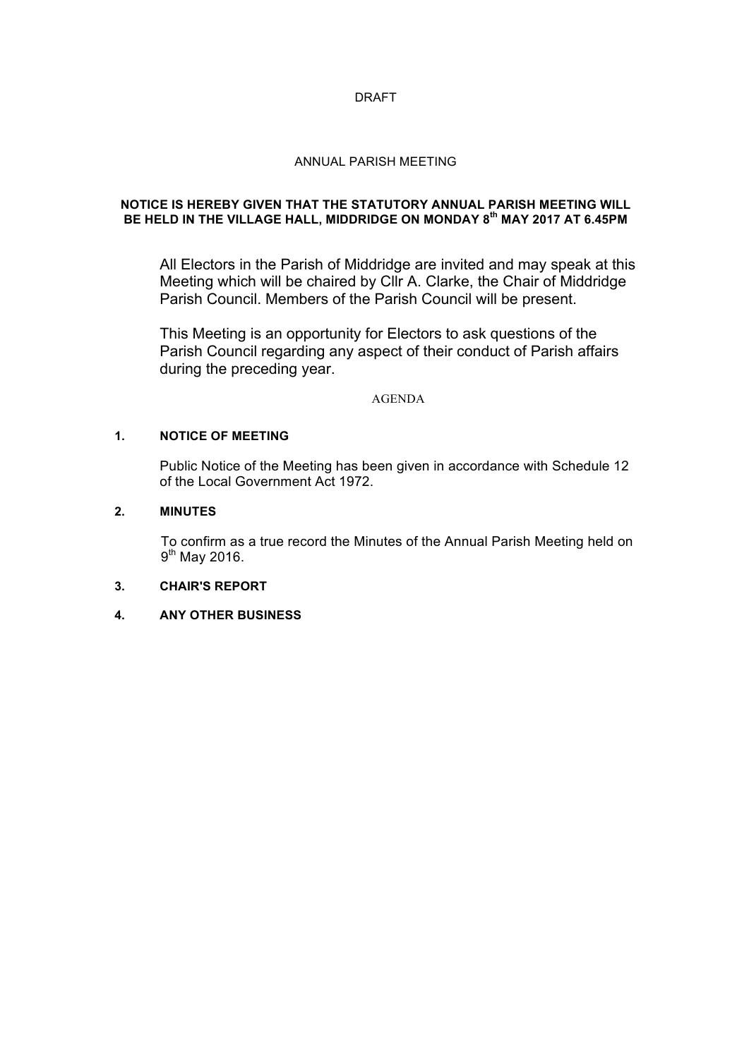## DRAFT

## ANNUAL PARISH MEETING

## **NOTICE IS HEREBY GIVEN THAT THE STATUTORY ANNUAL PARISH MEETING WILL BE HELD IN THE VILLAGE HALL, MIDDRIDGE ON MONDAY 8th MAY 2017 AT 6.45PM**

All Electors in the Parish of Middridge are invited and may speak at this Meeting which will be chaired by Cllr A. Clarke, the Chair of Middridge Parish Council. Members of the Parish Council will be present.

This Meeting is an opportunity for Electors to ask questions of the Parish Council regarding any aspect of their conduct of Parish affairs during the preceding year.

#### AGENDA

## **1. NOTICE OF MEETING**

Public Notice of the Meeting has been given in accordance with Schedule 12 of the Local Government Act 1972.

## **2. MINUTES**

To confirm as a true record the Minutes of the Annual Parish Meeting held on 9<sup>th</sup> May 2016.

### **3. CHAIR'S REPORT**

# **4. ANY OTHER BUSINESS**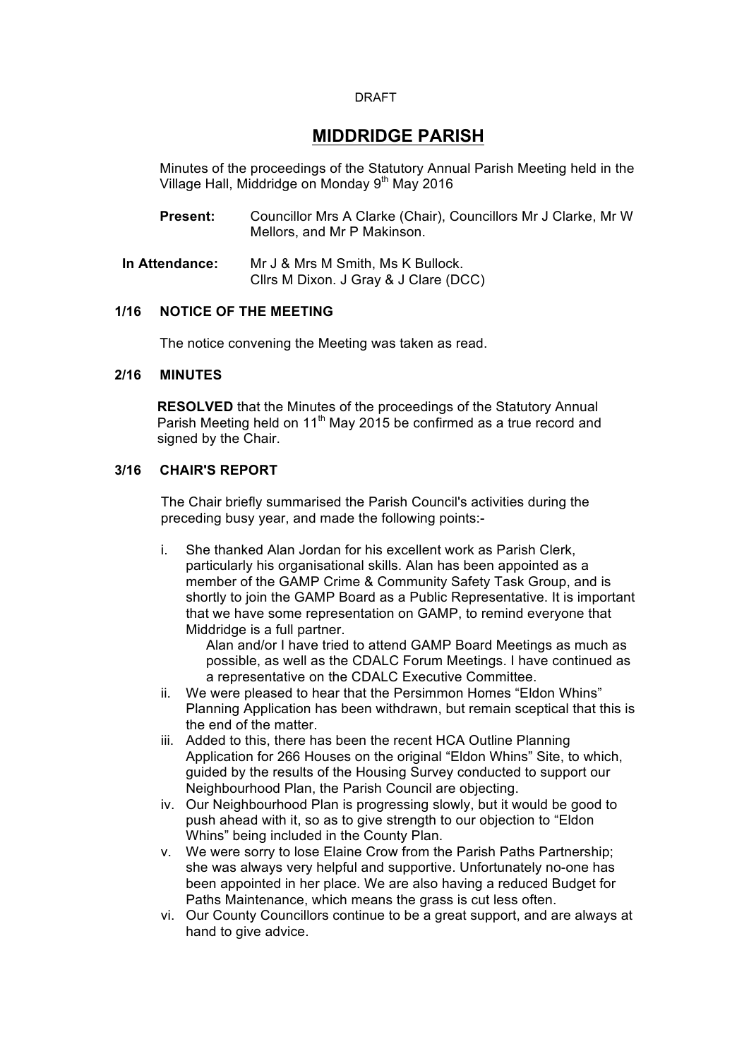#### DRAFT

# **MIDDRIDGE PARISH**

Minutes of the proceedings of the Statutory Annual Parish Meeting held in the Village Hall, Middridge on Monday 9<sup>th</sup> May 2016

- **Present:** Councillor Mrs A Clarke (Chair), Councillors Mr J Clarke, Mr W Mellors, and Mr P Makinson.
- **In Attendance:** Mr J & Mrs M Smith, Ms K Bullock. Cllrs M Dixon. J Gray & J Clare (DCC)

# **1/16 NOTICE OF THE MEETING**

The notice convening the Meeting was taken as read.

#### **2/16 MINUTES**

**RESOLVED** that the Minutes of the proceedings of the Statutory Annual Parish Meeting held on  $11<sup>th</sup>$  May 2015 be confirmed as a true record and signed by the Chair.

## **3/16 CHAIR'S REPORT**

The Chair briefly summarised the Parish Council's activities during the preceding busy year, and made the following points:-

i. She thanked Alan Jordan for his excellent work as Parish Clerk, particularly his organisational skills. Alan has been appointed as a member of the GAMP Crime & Community Safety Task Group, and is shortly to join the GAMP Board as a Public Representative. It is important that we have some representation on GAMP, to remind everyone that Middridge is a full partner.

Alan and/or I have tried to attend GAMP Board Meetings as much as possible, as well as the CDALC Forum Meetings. I have continued as a representative on the CDALC Executive Committee.

- ii. We were pleased to hear that the Persimmon Homes "Eldon Whins" Planning Application has been withdrawn, but remain sceptical that this is the end of the matter.
- iii. Added to this, there has been the recent HCA Outline Planning Application for 266 Houses on the original "Eldon Whins" Site, to which, guided by the results of the Housing Survey conducted to support our Neighbourhood Plan, the Parish Council are objecting.
- iv. Our Neighbourhood Plan is progressing slowly, but it would be good to push ahead with it, so as to give strength to our objection to "Eldon Whins" being included in the County Plan.
- v. We were sorry to lose Elaine Crow from the Parish Paths Partnership; she was always very helpful and supportive. Unfortunately no-one has been appointed in her place. We are also having a reduced Budget for Paths Maintenance, which means the grass is cut less often.
- vi. Our County Councillors continue to be a great support, and are always at hand to give advice.